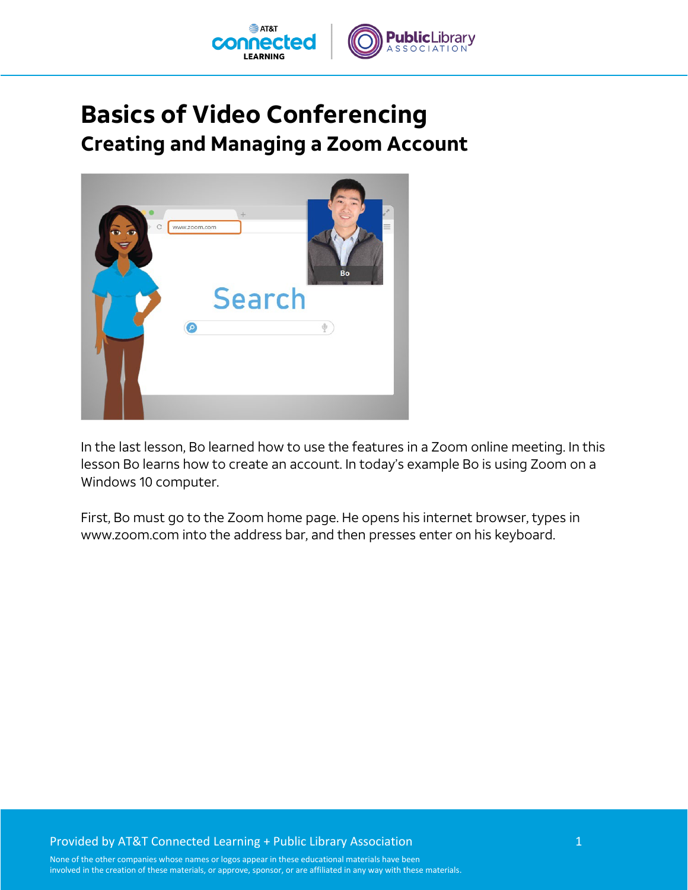

## **Basics of Video Conferencing Creating and Managing a Zoom Account**



In the last lesson, Bo learned how to use the features in a Zoom online meeting. In this lesson Bo learns how to create an account. In today's example Bo is using Zoom on a Windows 10 computer.

First, Bo must go to the Zoom home page. He opens his internet browser, types in www.zoom.com into the address bar, and then presses enter on his keyboard.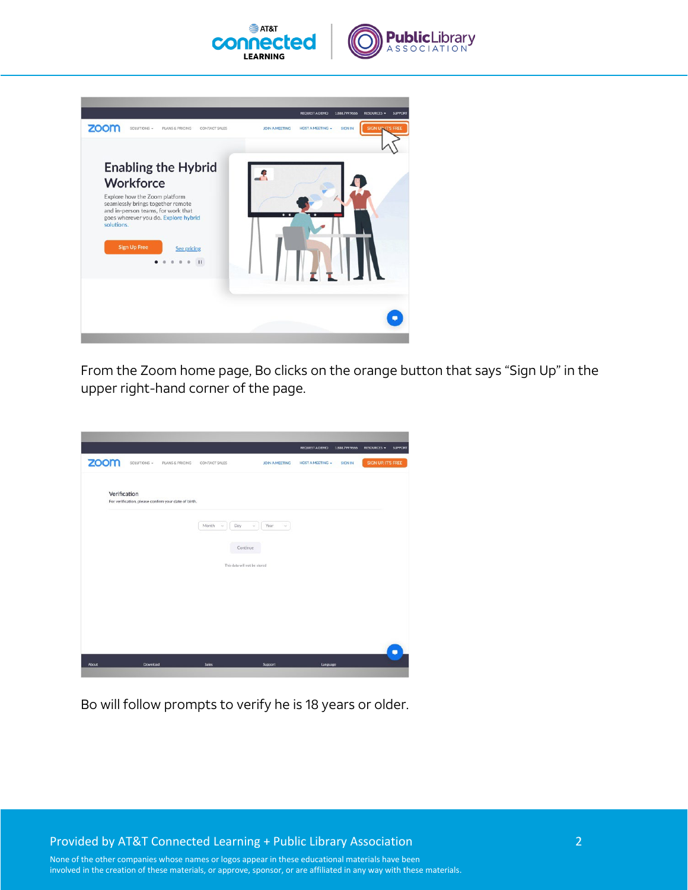





From the Zoom home page, Bo clicks on the orange button that says "Sign Up" in the upper right-hand corner of the page.

|       |              |                                                      |                 |                                          | <b>REQUEST A DEMO</b>   | 1.888.799.9666 | RESOURCES -        | SUPPORT   |
|-------|--------------|------------------------------------------------------|-----------------|------------------------------------------|-------------------------|----------------|--------------------|-----------|
| zoom  | SOLUTIONS -  | PLANS & PRICING                                      | CONTACT SALES   | JOIN A MEETING                           | <b>HOST A MEETING +</b> | <b>SIGN IN</b> | SIGN UP, IT'S FREE |           |
|       | Verification | For verification, please confirm your date of birth. |                 |                                          |                         |                |                    |           |
|       |              |                                                      | Month<br>$\sim$ | Year<br>Day<br>$\omega$<br>$\omega$      |                         |                |                    |           |
|       |              |                                                      |                 | Continue<br>This data will not be stored |                         |                |                    |           |
|       |              |                                                      |                 |                                          |                         |                |                    |           |
|       |              |                                                      |                 |                                          |                         |                |                    |           |
|       |              |                                                      |                 |                                          |                         |                |                    |           |
| About | Download     |                                                      | <b>Sales</b>    | Support                                  | Language                |                |                    | $\bullet$ |

Bo will follow prompts to verify he is 18 years or older.

Provided by AT&T Connected Learning + Public Library Association 2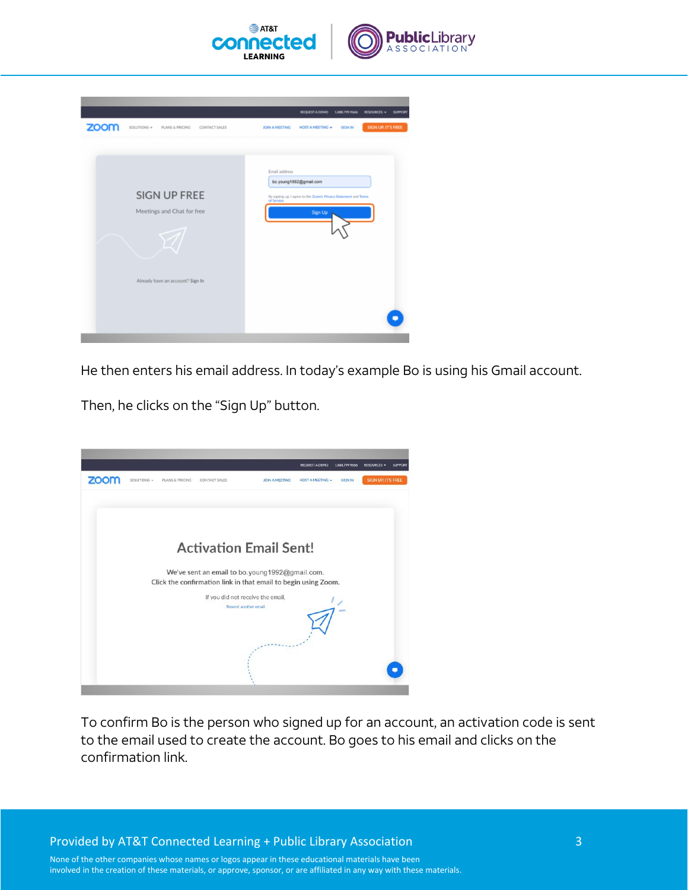

| zoom<br>SOLUTIONS *<br>PLANS & PRICING<br>CONTACT SALES                               | <b>REQUEST A DEMO</b><br>1.888.799.9666<br><b>RESOURCES -</b><br><b>SUPPORT</b><br><b>SIGN UP, IT'S FREE</b><br><b>JOIN A MEETING</b><br><b>HOST A MEETING +</b><br><b>SIGN IN</b> |
|---------------------------------------------------------------------------------------|------------------------------------------------------------------------------------------------------------------------------------------------------------------------------------|
| <b>SIGN UP FREE</b><br>Meetings and Chat for free<br>Already have an account? Sign In | Email address<br>bo.young1992@gmail.com<br>By signing up, I agree to the Zoom's Privacy Statement and Terms<br>of Service.<br><b>Sign Up</b>                                       |

He then enters his email address. In today's example Bo is using his Gmail account.

Then, he clicks on the "Sign Up" button.



To confirm Bo is the person who signed up for an account, an activation code is sent to the email used to create the account. Bo goes to his email and clicks on the confirmation link.

Provided by AT&T Connected Learning + Public Library Association 3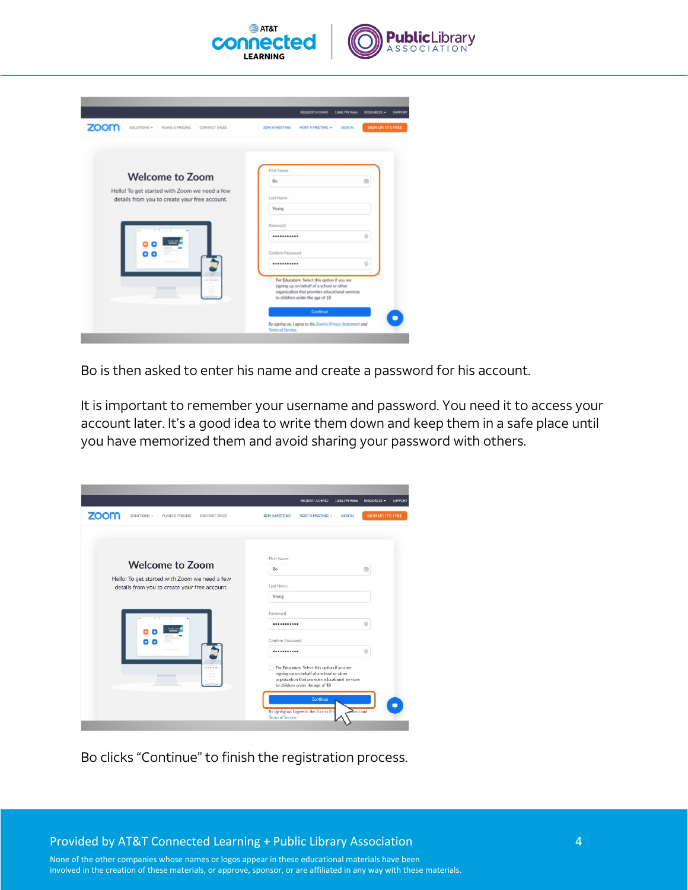

|                                                                                                | <b>REQUEST A DEMO</b>                                                                                                                                                           | 1.888.799.9666<br><b>RESOURCES -</b><br><b>SUPPORT</b> |
|------------------------------------------------------------------------------------------------|---------------------------------------------------------------------------------------------------------------------------------------------------------------------------------|--------------------------------------------------------|
| zoom<br>SOLUTIONS +<br>PLANS & PRICING<br><b>CONTACT SALES</b>                                 | <b>JOIN A MEETING</b><br><b>HOST A MEETING +</b>                                                                                                                                | <b>SIGN UP, IT'S FREE</b><br><b>SIGN IN</b>            |
|                                                                                                | First Name                                                                                                                                                                      |                                                        |
| <b>Welcome to Zoom</b>                                                                         | Bo                                                                                                                                                                              | 0                                                      |
| Hello! To get started with Zoom we need a few<br>details from you to create your free account. | Last Name                                                                                                                                                                       |                                                        |
|                                                                                                | Young                                                                                                                                                                           |                                                        |
| <b>CALL OF</b>                                                                                 | Password<br>                                                                                                                                                                    | $\circledcirc$                                         |
|                                                                                                | Confirm Password                                                                                                                                                                |                                                        |
|                                                                                                |                                                                                                                                                                                 | $\circledcirc$                                         |
| ______                                                                                         | For Educators: Select this option if you are<br>signing up on behalf of a school or other<br>organization that provides educational services<br>to children under the age of 18 |                                                        |
|                                                                                                | Continue                                                                                                                                                                        |                                                        |
|                                                                                                | By signing up, I agree to the Zoom's Privacy Statement and<br><b>Terms of Service.</b>                                                                                          |                                                        |

Bo is then asked to enter his name and create a password for his account.

It is important to remember your username and password. You need it to access your account later. It's a good idea to write them down and keep them in a safe place until you have memorized them and avoid sharing your password with others.

| <b>HOST A MEETING +</b><br><b>SIGN IN</b><br>JOIN A MEETING                                                                       | SIGN UP, IT'S FREE                                                                                                              |
|-----------------------------------------------------------------------------------------------------------------------------------|---------------------------------------------------------------------------------------------------------------------------------|
|                                                                                                                                   |                                                                                                                                 |
|                                                                                                                                   |                                                                                                                                 |
| Bo                                                                                                                                | 3                                                                                                                               |
| Last Name                                                                                                                         |                                                                                                                                 |
| Young                                                                                                                             |                                                                                                                                 |
| Password                                                                                                                          |                                                                                                                                 |
|                                                                                                                                   | 0                                                                                                                               |
| Confirm Password                                                                                                                  |                                                                                                                                 |
|                                                                                                                                   | $\odot$                                                                                                                         |
| For Educators: Select this option if you are<br>m<br>signing up on behalf of a school or other<br>to children under the age of 18 |                                                                                                                                 |
| Continue                                                                                                                          | <b>Rent and</b>                                                                                                                 |
|                                                                                                                                   | First Name<br>organization that provides educational services<br>By signing up, I agree to the Zoom's Pri-<br>Terms of Service. |

Bo clicks "Continue" to finish the registration process.

Provided by AT&T Connected Learning + Public Library Association 4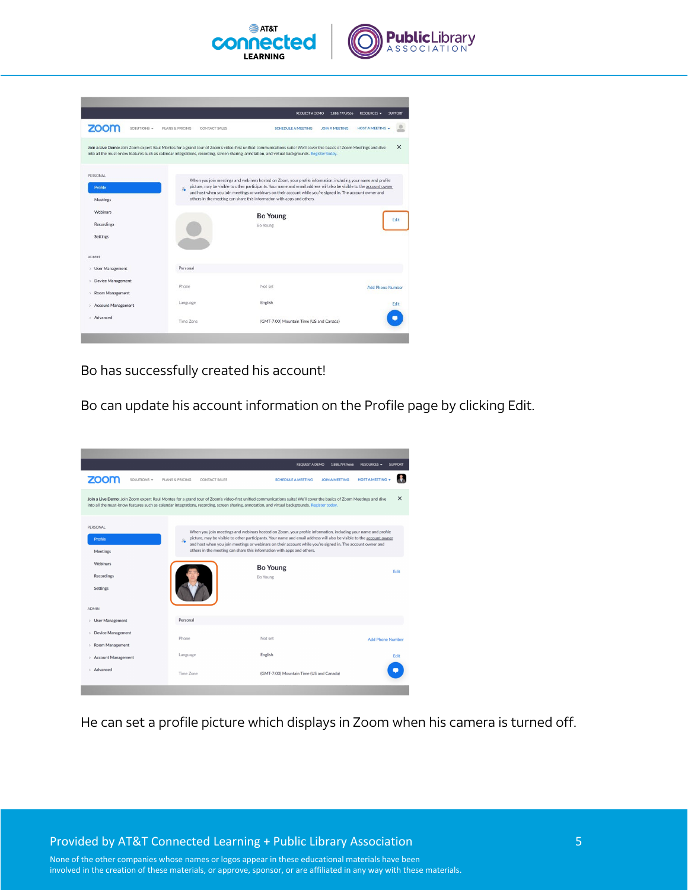

|                                                                               |                                  | <b>REQUEST A DEMO</b><br>1.888.799.9666                                                                                                                                                                                                                                                                                                                                                                                       | RESOURCES +<br><b>SUPPORT</b> |
|-------------------------------------------------------------------------------|----------------------------------|-------------------------------------------------------------------------------------------------------------------------------------------------------------------------------------------------------------------------------------------------------------------------------------------------------------------------------------------------------------------------------------------------------------------------------|-------------------------------|
| zoom<br>SOLUTIONS -                                                           | PLANS & PRICING<br>CONTACT SALES | <b>SCHEDULE A MEETING</b><br><b>JOIN A MEETING</b>                                                                                                                                                                                                                                                                                                                                                                            | <b>HOST A MEETING +</b>       |
|                                                                               |                                  | Join a Live Demo: Join Zoom expert Raul Montes for a grand tour of Zoom's video-first unified communications suite! We'll cover the basics of Zoom Meetings and dive<br>into all the must-know features such as calendar integrations, recording, screen sharing, annotation, and virtual backgrounds. Register today,                                                                                                        | $\times$                      |
| PERSONAL<br>Profile<br>Meetings                                               | g.                               | When you join meetings and webinars hosted on Zoom, your profile information, including your name and profile<br>picture, may be visible to other participants. Your name and email address will also be visible to the account owner<br>and host when you join meetings or webinars on their account while you're signed in. The account owner and<br>others in the meeting can share this information with apps and others. |                               |
| Webinars                                                                      |                                  | <b>Bo Young</b>                                                                                                                                                                                                                                                                                                                                                                                                               |                               |
| Recordings<br><b>Settings</b>                                                 |                                  | <b>Bo Young</b>                                                                                                                                                                                                                                                                                                                                                                                                               | Edit                          |
| <b>ADMIN</b>                                                                  |                                  |                                                                                                                                                                                                                                                                                                                                                                                                                               |                               |
| <b>User Management</b><br>$\sim$                                              | Personal                         |                                                                                                                                                                                                                                                                                                                                                                                                                               |                               |
| <b>Device Management</b><br>$\rightarrow$<br>Room Management<br>$\rightarrow$ | Phone                            | Not set                                                                                                                                                                                                                                                                                                                                                                                                                       | <b>Add Phone Number</b>       |
| <b>Account Management</b><br>$\frac{1}{2}$                                    | Language                         | English                                                                                                                                                                                                                                                                                                                                                                                                                       | Edit                          |
|                                                                               |                                  |                                                                                                                                                                                                                                                                                                                                                                                                                               |                               |

Bo has successfully created his account!

Bo can update his account information on the Profile page by clicking Edit.



He can set a profile picture which displays in Zoom when his camera is turned off.

Provided by AT&T Connected Learning + Public Library Association 5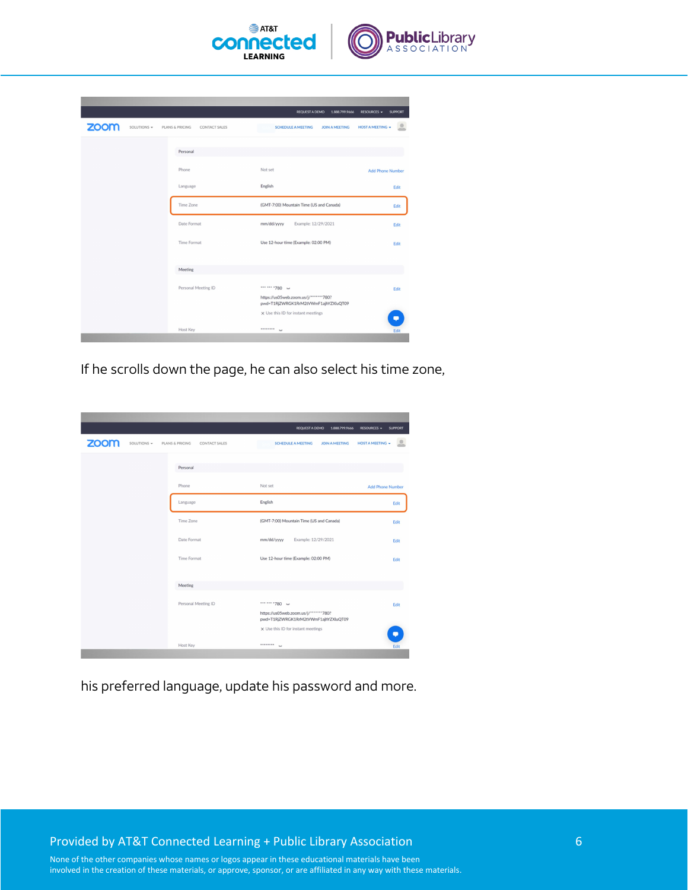

|                     |                                         | <b>REQUEST A DEMO</b><br>1.888.799.9666                                       | RESOURCES -<br><b>SUPPORT</b> |
|---------------------|-----------------------------------------|-------------------------------------------------------------------------------|-------------------------------|
| zoom<br>SOLUTIONS - | PLANS & PRICING<br><b>CONTACT SALES</b> | <b>SCHEDULE A MEETING</b><br><b>JOIN A MEETING</b>                            | <b>HOST A MEETING .</b>       |
|                     |                                         |                                                                               |                               |
|                     | Personal                                |                                                                               |                               |
|                     | Phone                                   | Not set                                                                       | <b>Add Phone Number</b>       |
|                     | Language                                | English                                                                       | Edit                          |
|                     | Time Zone                               | (GMT-7:00) Mountain Time (US and Canada)                                      | Edit                          |
|                     | Date Format                             | Example: 12/29/2021<br>mm/dd/yyyy                                             | Edit                          |
|                     | <b>Time Format</b>                      | Use 12-hour time (Example: 02:00 PM)                                          | Edit                          |
|                     |                                         |                                                                               |                               |
|                     | Meeting                                 |                                                                               |                               |
|                     | Personal Meeting ID                     | *** *** * 780 **                                                              | Edit                          |
|                     |                                         | https://us05web.zoom.us/j/*******780?<br>pwd=T1RjZWRGK1RrM2tVWmF1ajhYZXluQT09 |                               |
|                     |                                         | x Use this ID for instant meetings                                            |                               |
|                     | Host Key                                | ********<br>bot.                                                              | Edit                          |
|                     |                                         |                                                                               |                               |

If he scrolls down the page, he can also select his time zone,

|                     |                                         | <b>REQUEST A DEMO</b><br>1.888.799.9666                                                           | <b>RESOURCES -</b><br><b>SUPPORT</b> |
|---------------------|-----------------------------------------|---------------------------------------------------------------------------------------------------|--------------------------------------|
| zoom<br>SOLUTIONS - | PLANS & PRICING<br><b>CONTACT SALES</b> | <b>SCHEDULE A MEETING</b><br><b>JOIN A MEETING</b>                                                | <b>HOST A MEETING</b>                |
|                     | Personal                                |                                                                                                   |                                      |
|                     | Phone                                   | Not set                                                                                           | <b>Add Phone Number</b>              |
|                     | Language                                | English                                                                                           | Edit                                 |
|                     | Time Zone                               | (GMT-7:00) Mountain Time (US and Canada)                                                          | Edit                                 |
|                     | Date Format                             | mm/dd/yyyy<br>Example: 12/29/2021                                                                 | Edit                                 |
|                     | Time Format                             | Use 12-hour time (Example: 02:00 PM)                                                              | Edit                                 |
|                     | Meeting                                 |                                                                                                   |                                      |
|                     | Personal Meeting ID                     | *** *** * 780 **<br>https://us05web.zoom.us/j/*******780?<br>pwd=T1RjZWRGK1RrM2tVWmF1ajhYZXluQT09 | Edit                                 |
|                     |                                         | x Use this ID for instant meetings                                                                | $\bullet$                            |
|                     | Host Key                                | <br>had.                                                                                          | Edit                                 |

his preferred language, update his password and more.

Provided by AT&T Connected Learning + Public Library Association 6